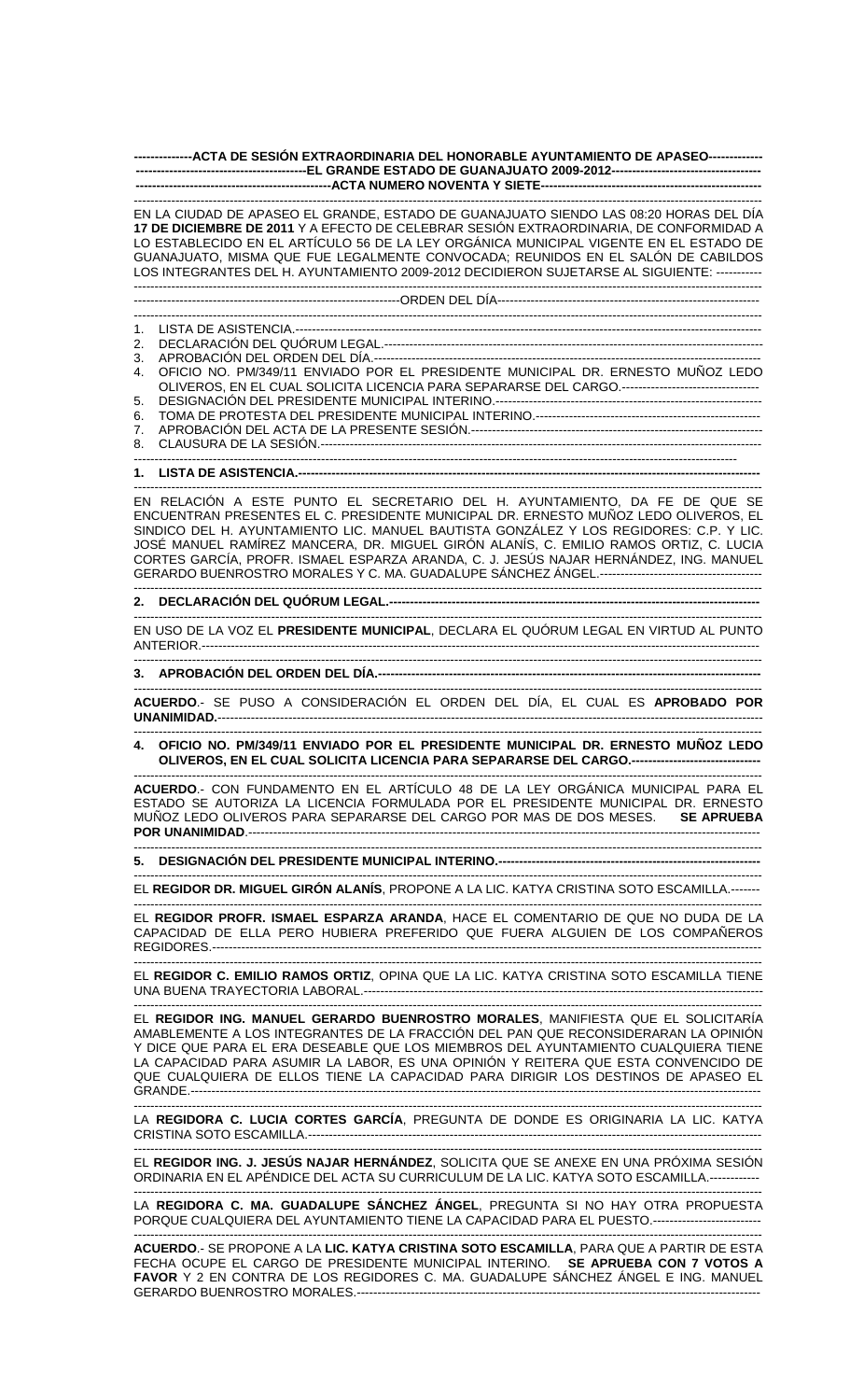**--------------ACTA DE SESIÓN EXTRAORDINARIA DEL HONORABLE AYUNTAMIENTO DE APASEO------------- -----------------------------------------EL GRANDE ESTADO DE GUANAJUATO 2009-2012------------------------------------ -----------------------------------------------ACTA NUMERO NOVENTA Y SIETE-----------------------------------------------------** 

------------------------------------------------------------------------------------------------------------------------------------------------------- EN LA CIUDAD DE APASEO EL GRANDE, ESTADO DE GUANAJUATO SIENDO LAS 08:20 HORAS DEL DÍA **17 DE DICIEMBRE DE 2011** Y A EFECTO DE CELEBRAR SESIÓN EXTRAORDINARIA, DE CONFORMIDAD A LO ESTABLECIDO EN EL ARTÍCULO 56 DE LA LEY ORGÁNICA MUNICIPAL VIGENTE EN EL ESTADO DE GUANAJUATO, MISMA QUE FUE LEGALMENTE CONVOCADA; REUNIDOS EN EL SALÓN DE CABILDOS LOS INTEGRANTES DEL H. AYUNTAMIENTO 2009-2012 DECIDIERON SUJETARSE AL SIGUIENTE: ----------- -------------------------------------------------------------------------------------------------------------------------------------------------------

----------------------------------------------------------------ORDEN DEL DÍA---------------------------------------------------------------

------------------------------------------------------------------------------------------------------------------------------------------------------- 1. LISTA DE ASISTENCIA.----------------------------------------------------------------------------------------------------------------

- 2. DECLARACIÓN DEL QUÓRUM LEGAL.------------------------------------------------------------------------------------------- 3. APROBACIÓN DEL ORDEN DEL DÍA.--
- 4. OFICIO NO. PM/349/11 ENVIADO POR EL PRESIDENTE MUNICIPAL DR. ERNESTO MUÑOZ LEDO OLIVEROS, EN EL CUAL SOLICITA LICENCIA PARA SEPARARSE DEL CARGO.--------------------------------- 5. DESIGNACIÓN DEL PRESIDENTE MUNICIPAL INTERINO.---------------------------------------------------------------- 6. TOMA DE PROTESTA DEL PRESIDENTE MUNICIPAL INTERINO.------------------------------------------------------
- 7. APROBACIÓN DEL ACTA DE LA PRESENTE SESIÓN.----------------------------------------------------------------------

8. CLAUSURA DE LA SESIÓN.---------------------------------------------------------------------------------------------------------- -------------------------------------------------------------------------------------------------------------------------------------------------

**1. LISTA DE ASISTENCIA.---**

------------------------------------------------------------------------------------------------------------------------------------------------------- EN RELACIÓN A ESTE PUNTO EL SECRETARIO DEL H. AYUNTAMIENTO, DA FE DE QUE SE ENCUENTRAN PRESENTES EL C. PRESIDENTE MUNICIPAL DR. ERNESTO MUÑOZ LEDO OLIVEROS, EL SINDICO DEL H. AYUNTAMIENTO LIC. MANUEL BAUTISTA GONZÁLEZ Y LOS REGIDORES: C.P. Y LIC. JOSÉ MANUEL RAMÍREZ MANCERA, DR. MIGUEL GIRÓN ALANÍS, C. EMILIO RAMOS ORTIZ, C. LUCIA CORTES GARCÍA, PROFR. ISMAEL ESPARZA ARANDA, C. J. JESÚS NAJAR HERNÁNDEZ, ING. MANUEL GERARDO BUENROSTRO MORALES Y C. MA. GUADALUPE SÁNCHEZ ÁNGEL.---

## ------------------------------------------------------------------------------------------------------------------------------------------------------- **2. DECLARACIÓN DEL QUÓRUM LEGAL.-----------------------------------------------------------------------------------------**

------------------------------------------------------------------------------------------------------------------------------------------------------- EN USO DE LA VOZ EL **PRESIDENTE MUNICIPAL**, DECLARA EL QUÓRUM LEGAL EN VIRTUD AL PUNTO ANTERIOR.--------------------------------------------------------------------------------------------------------------------------------------

-------------------------------------------------------------------------------------------------------------------------------------------------------

## **3. APROBACIÓN DEL ORDEN DEL DÍA.--------------------------------------------------------------------------------------------**

------------------------------------------------------------------------------------------------------------------------------------------------------- **ACUERDO**.- SE PUSO A CONSIDERACIÓN EL ORDEN DEL DÍA, EL CUAL ES **APROBADO POR UNANIMIDAD.**-----------------------------------------------------------------------------------------------------------------------------------

------------------------------------------------------------------------------------------------------------------------------------------------------- **4. OFICIO NO. PM/349/11 ENVIADO POR EL PRESIDENTE MUNICIPAL DR. ERNESTO MUÑOZ LEDO OLIVEROS, EN EL CUAL SOLICITA LICENCIA PARA SEPARARSE DEL CARGO.----**

------------------------------------------------------------------------------------------------------------------------------------------------------- **ACUERDO**.- CON FUNDAMENTO EN EL ARTÍCULO 48 DE LA LEY ORGÁNICA MUNICIPAL PARA EL ESTADO SE AUTORIZA LA LICENCIA FORMULADA POR EL PRESIDENTE MUNICIPAL DR. ERNESTO MUÑOZ LEDO OLIVEROS PARA SEPARARSE DEL CARGO POR MAS DE DOS MESES. **SE APRUEBA POR UNANIMIDAD**.---------------------------------------------------------------------------------------------------------------------------

------------------------------------------------------------------------------------------------------------------------------------------------------- **5. DESIGNACIÓN DEL PRESIDENTE MUNICIPAL INTERINO.---------------------------------------------------------------** 

------------------------------------------------------------------------------------------------------------------------------------------------------- EL **REGIDOR DR. MIGUEL GIRÓN ALANÍS**, PROPONE A LA LIC. KATYA CRISTINA SOTO ESCAMILLA.-------

------------------------------------------------------------------------------------------------------------------------------------------------------- EL **REGIDOR PROFR. ISMAEL ESPARZA ARANDA**, HACE EL COMENTARIO DE QUE NO DUDA DE LA CAPACIDAD DE ELLA PERO HUBIERA PREFERIDO QUE FUERA ALGUIEN DE LOS COMPAÑEROS REGIDORES.------------------------------------------------------------------------------------------------------------------------------------

------------------------------------------------------------------------------------------------------------------------------------------------------- EL **REGIDOR C. EMILIO RAMOS ORTIZ**, OPINA QUE LA LIC. KATYA CRISTINA SOTO ESCAMILLA TIENE UNA BUENA TRAYECTORIA LABORAL.------------------------------------------------------------------------------------------------

------------------------------------------------------------------------------------------------------------------------------------------------------- EL **REGIDOR ING. MANUEL GERARDO BUENROSTRO MORALES**, MANIFIESTA QUE EL SOLICITARÍA AMABLEMENTE A LOS INTEGRANTES DE LA FRACCIÓN DEL PAN QUE RECONSIDERARAN LA OPINIÓN Y DICE QUE PARA EL ERA DESEABLE QUE LOS MIEMBROS DEL AYUNTAMIENTO CUALQUIERA TIENE LA CAPACIDAD PARA ASUMIR LA LABOR, ES UNA OPINIÓN Y REITERA QUE ESTA CONVENCIDO DE QUE CUALQUIERA DE ELLOS TIENE LA CAPACIDAD PARA DIRIGIR LOS DESTINOS DE APASEO EL GRANDE.-----------------------------------------------------------------------------------------------------------------------------------------

------------------------------------------------------------------------------------------------------------------------------------------------------- LA **REGIDORA C. LUCIA CORTES GARCÍA**, PREGUNTA DE DONDE ES ORIGINARIA LA LIC. KATYA CRISTINA SOTO ESCAMILLA.-------------------------------------------------------------------------------------------------------------

------------------------------------------------------------------------------------------------------------------------------------------------------- EL **REGIDOR ING. J. JESÚS NAJAR HERNÁNDEZ**, SOLICITA QUE SE ANEXE EN UNA PRÓXIMA SESIÓN ORDINARIA EN EL APÉNDICE DEL ACTA SU CURRICULUM DE LA LIC. KATYA SOTO ESCAMILLA.------------

------------------------------------------------------------------------------------------------------------------------------------------------------- LA **REGIDORA C. MA. GUADALUPE SÁNCHEZ ÁNGEL**, PREGUNTA SI NO HAY OTRA PROPUESTA PORQUE CUALQUIERA DEL AYUNTAMIENTO TIENE LA CAPACIDAD PARA EL PUESTO.--------------------------

------------------------------------------------------------------------------------------------------------------------------------------------------- **ACUERDO**.- SE PROPONE A LA **LIC. KATYA CRISTINA SOTO ESCAMILLA**, PARA QUE A PARTIR DE ESTA FECHA OCUPE EL CARGO DE PRESIDENTE MUNICIPAL INTERINO. **SE APRUEBA CON 7 VOTOS A FAVOR** Y 2 EN CONTRA DE LOS REGIDORES C. MA. GUADALUPE SÁNCHEZ ÁNGEL E ING. MANUEL GERARDO BUENROSTRO MORALES.-----